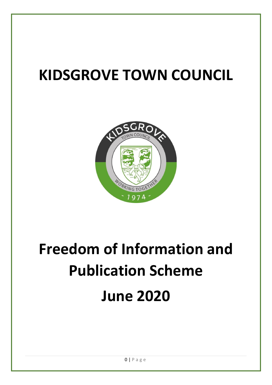## **KIDSGROVE TOWN COUNCIL**



# **Freedom of Information and Publication Scheme June 2020**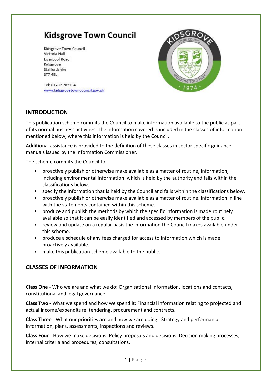### **Kidsgrove Town Council**

Kidsgrove Town Council Victoria Hall Liverpool Road Kidsgrove Staffordshire ST7 4EL



Tel: 01782 782254 www.kidsgrovetowncouncil.gov.uk

#### **INTRODUCTION**

This publication scheme commits the Council to make information available to the public as part of its normal business activities. The information covered is included in the classes of information mentioned below, where this information is held by the Council.

Additional assistance is provided to the definition of these classes in sector specific guidance manuals issued by the Information Commissioner.

The scheme commits the Council to:

- proactively publish or otherwise make available as a matter of routine, information, including environmental information, which is held by the authority and falls within the classifications below.
- specify the information that is held by the Council and falls within the classifications below.
- proactively publish or otherwise make available as a matter of routine, information in line with the statements contained within this scheme.
- produce and publish the methods by which the specific information is made routinely available so that it can be easily identified and accessed by members of the public.
- review and update on a regular basis the information the Council makes available under this scheme.
- produce a schedule of any fees charged for access to information which is made proactively available.
- make this publication scheme available to the public.

#### **CLASSES OF INFORMATION**

**Class One** - Who we are and what we do: Organisational information, locations and contacts, constitutional and legal governance.

**Class Two** - What we spend and how we spend it: Financial information relating to projected and actual income/expenditure, tendering, procurement and contracts.

**Class Three** - What our priorities are and how we are doing: Strategy and performance information, plans, assessments, inspections and reviews.

**Class Four** - How we make decisions: Policy proposals and decisions. Decision making processes, internal criteria and procedures, consultations.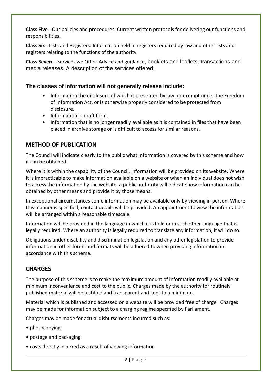**Class Five** - Our policies and procedures: Current written protocols for delivering our functions and responsibilities.

**Class Six** - Lists and Registers: Information held in registers required by law and other lists and registers relating to the functions of the authority.

**Class Seven** – Services we Offer: Advice and guidance, booklets and leaflets, transactions and media releases. A description of the services offered.

#### **The classes of information will not generally release include:**

- Information the disclosure of which is prevented by law, or exempt under the Freedom of Information Act, or is otherwise properly considered to be protected from disclosure.
- Information in draft form.
- Information that is no longer readily available as it is contained in files that have been placed in archive storage or is difficult to access for similar reasons.

#### **METHOD OF PUBLICATION**

The Council will indicate clearly to the public what information is covered by this scheme and how it can be obtained.

Where it is within the capability of the Council, information will be provided on its website. Where it is impracticable to make information available on a website or when an individual does not wish to access the information by the website, a public authority will indicate how information can be obtained by other means and provide it by those means.

In exceptional circumstances some information may be available only by viewing in person. Where this manner is specified, contact details will be provided. An appointment to view the information will be arranged within a reasonable timescale.

Information will be provided in the language in which it is held or in such other language that is legally required. Where an authority is legally required to translate any information, it will do so.

Obligations under disability and discrimination legislation and any other legislation to provide information in other forms and formats will be adhered to when providing information in accordance with this scheme.

#### **CHARGES**

The purpose of this scheme is to make the maximum amount of information readily available at minimum inconvenience and cost to the public. Charges made by the authority for routinely published material will be justified and transparent and kept to a minimum.

Material which is published and accessed on a website will be provided free of charge. Charges may be made for information subject to a charging regime specified by Parliament.

Charges may be made for actual disbursements incurred such as:

- photocopying
- postage and packaging
- costs directly incurred as a result of viewing information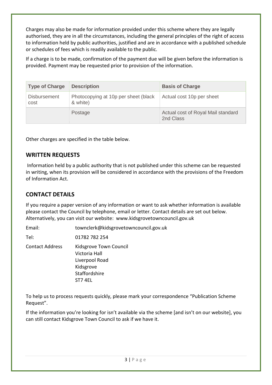Charges may also be made for information provided under this scheme where they are legally authorised, they are in all the circumstances, including the general principles of the right of access to information held by public authorities, justified and are in accordance with a published schedule or schedules of fees which is readily available to the public.

If a charge is to be made, confirmation of the payment due will be given before the information is provided. Payment may be requested prior to provision of the information.

| <b>Type of Charge</b>       | <b>Description</b>                               | <b>Basis of Charge</b>                          |
|-----------------------------|--------------------------------------------------|-------------------------------------------------|
| <b>Disbursement</b><br>cost | Photocopying at 10p per sheet (black<br>& white) | Actual cost 10p per sheet                       |
|                             | Postage                                          | Actual cost of Royal Mail standard<br>2nd Class |

Other charges are specified in the table below.

#### **WRITTEN REQUESTS**

Information held by a public authority that is not published under this scheme can be requested in writing, when its provision will be considered in accordance with the provisions of the Freedom of Information Act.

#### **CONTACT DETAILS**

If you require a paper version of any information or want to ask whether information is available please contact the Council by telephone, email or letter. Contact details are set out below. Alternatively, you can visit our website: www.kidsgrovetowncouncil.gov.uk

Email: townclerk@kidsgrovetowncouncil.gov.uk

Tel: 01782 782 254

Contact Address Kidsgrove Town Council Victoria Hall Liverpool Road Kidsgrove **Staffordshire** ST7 4EL

To help us to process requests quickly, please mark your correspondence "Publication Scheme Request".

If the information you're looking for isn't available via the scheme [and isn't on our website], you can still contact Kidsgrove Town Council to ask if we have it.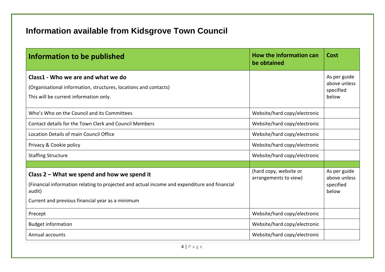## **Information available from Kidsgrove Town Council**

| Information to be published                                                                                                                                                                                 | How the information can<br>be obtained          | Cost                                               |
|-------------------------------------------------------------------------------------------------------------------------------------------------------------------------------------------------------------|-------------------------------------------------|----------------------------------------------------|
| Class1 - Who we are and what we do<br>(Organisational information, structures, locations and contacts)<br>This will be current information only.                                                            |                                                 | As per guide<br>above unless<br>specified<br>below |
| Who's Who on the Council and its Committees                                                                                                                                                                 | Website/hard copy/electronic                    |                                                    |
| Contact details for the Town Clerk and Council Members                                                                                                                                                      | Website/hard copy/electronic                    |                                                    |
| Location Details of main Council Office                                                                                                                                                                     | Website/hard copy/electronic                    |                                                    |
| Privacy & Cookie policy                                                                                                                                                                                     | Website/hard copy/electronic                    |                                                    |
| <b>Staffing Structure</b>                                                                                                                                                                                   | Website/hard copy/electronic                    |                                                    |
|                                                                                                                                                                                                             |                                                 |                                                    |
| Class $2$ – What we spend and how we spend it<br>(Financial information relating to projected and actual income and expenditure and financial<br>audit)<br>Current and previous financial year as a minimum | (hard copy, website or<br>arrangements to view) | As per guide<br>above unless<br>specified<br>below |
| Precept                                                                                                                                                                                                     | Website/hard copy/electronic                    |                                                    |
| <b>Budget information</b>                                                                                                                                                                                   | Website/hard copy/electronic                    |                                                    |
| Annual accounts                                                                                                                                                                                             | Website/hard copy/electronic                    |                                                    |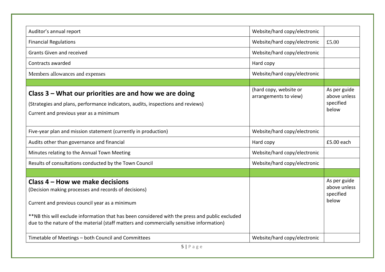| Auditor's annual report                                                                                                                                                                    | Website/hard copy/electronic                    |                                                    |
|--------------------------------------------------------------------------------------------------------------------------------------------------------------------------------------------|-------------------------------------------------|----------------------------------------------------|
| <b>Financial Regulations</b>                                                                                                                                                               | Website/hard copy/electronic                    | £5.00                                              |
| Grants Given and received                                                                                                                                                                  | Website/hard copy/electronic                    |                                                    |
| Contracts awarded                                                                                                                                                                          | Hard copy                                       |                                                    |
| Members allowances and expenses                                                                                                                                                            | Website/hard copy/electronic                    |                                                    |
|                                                                                                                                                                                            |                                                 |                                                    |
| Class 3 – What our priorities are and how we are doing<br>(Strategies and plans, performance indicators, audits, inspections and reviews)<br>Current and previous year as a minimum        | (hard copy, website or<br>arrangements to view) | As per guide<br>above unless<br>specified<br>below |
| Five-year plan and mission statement (currently in production)                                                                                                                             | Website/hard copy/electronic                    |                                                    |
| Audits other than governance and financial                                                                                                                                                 | Hard copy                                       | £5.00 each                                         |
| Minutes relating to the Annual Town Meeting                                                                                                                                                | Website/hard copy/electronic                    |                                                    |
| Results of consultations conducted by the Town Council                                                                                                                                     | Website/hard copy/electronic                    |                                                    |
|                                                                                                                                                                                            |                                                 |                                                    |
| Class 4 – How we make decisions<br>(Decision making processes and records of decisions)<br>Current and previous council year as a minimum                                                  |                                                 | As per guide<br>above unless<br>specified<br>below |
| **NB this will exclude information that has been considered with the press and public excluded<br>due to the nature of the material (staff matters and commercially sensitive information) |                                                 |                                                    |
|                                                                                                                                                                                            |                                                 |                                                    |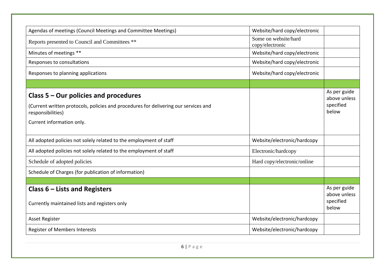| Agendas of meetings (Council Meetings and Committee Meetings)                                                                                       | Website/hard copy/electronic            |                                                    |
|-----------------------------------------------------------------------------------------------------------------------------------------------------|-----------------------------------------|----------------------------------------------------|
| Reports presented to Council and Committees **                                                                                                      | Some on website/hard<br>copy/electronic |                                                    |
| Minutes of meetings **                                                                                                                              | Website/hard copy/electronic            |                                                    |
| Responses to consultations                                                                                                                          | Website/hard copy/electronic            |                                                    |
| Responses to planning applications                                                                                                                  | Website/hard copy/electronic            |                                                    |
|                                                                                                                                                     |                                         |                                                    |
| Class $5 -$ Our policies and procedures<br>(Current written protocols, policies and procedures for delivering our services and<br>responsibilities) |                                         | As per guide<br>above unless<br>specified<br>below |
| Current information only.                                                                                                                           |                                         |                                                    |
| All adopted policies not solely related to the employment of staff                                                                                  | Website/electronic/hardcopy             |                                                    |
| All adopted policies not solely related to the employment of staff                                                                                  | Electronic/hardcopy                     |                                                    |
| Schedule of adopted policies                                                                                                                        | Hard copy/electronic/online             |                                                    |
| Schedule of Charges (for publication of information)                                                                                                |                                         |                                                    |
| Class $6$ – Lists and Registers                                                                                                                     |                                         | As per guide<br>above unless                       |
| Currently maintained lists and registers only                                                                                                       |                                         | specified<br>below                                 |
| <b>Asset Register</b>                                                                                                                               | Website/electronic/hardcopy             |                                                    |
| <b>Register of Members Interests</b>                                                                                                                | Website/electronic/hardcopy             |                                                    |